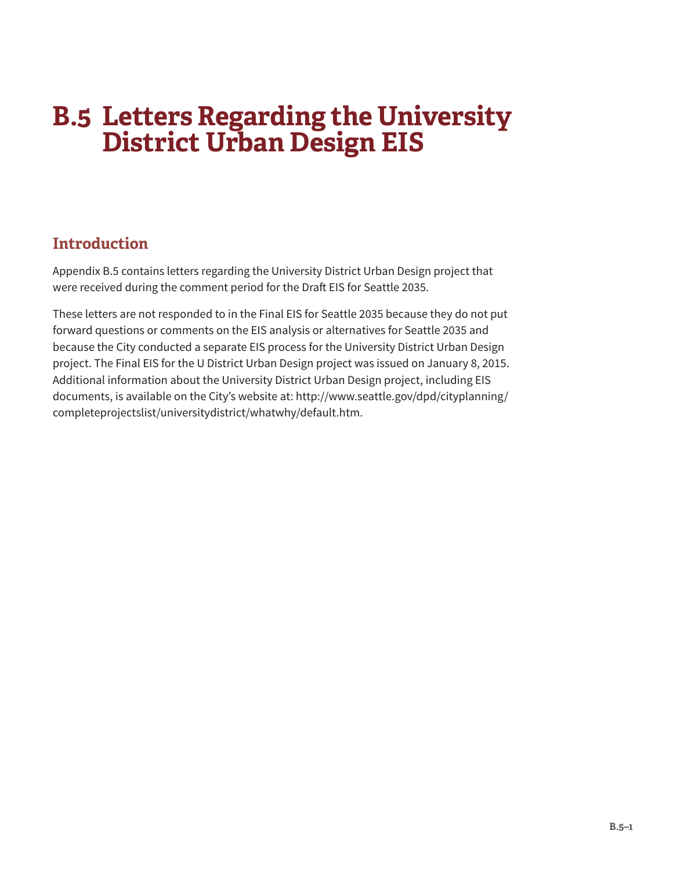## <span id="page-0-0"></span>**B.5 Letters Regarding the University District Urban Design EIS**

## **Introduction**

[Appendix B.5](#page-0-0) contains letters regarding the University District Urban Design project that were received during the comment period for the Draft EIS for Seattle 2035.

These letters are not responded to in the Final EIS for Seattle 2035 because they do not put forward questions or comments on the EIS analysis or alternatives for Seattle 2035 and because the City conducted a separate EIS process for the University District Urban Design project. The Final EIS for the U District Urban Design project was issued on January 8, 2015. Additional information about the University District Urban Design project, including EIS documents, is available on the City's website at: [http://www.seattle.gov/dpd/cityplanning/](http://www.seattle.gov/dpd/cityplanning/completeprojectslist/universitydistrict/whatwhy/default.htm) [completeprojectslist/universitydistrict/whatwhy/default.htm.](http://www.seattle.gov/dpd/cityplanning/completeprojectslist/universitydistrict/whatwhy/default.htm)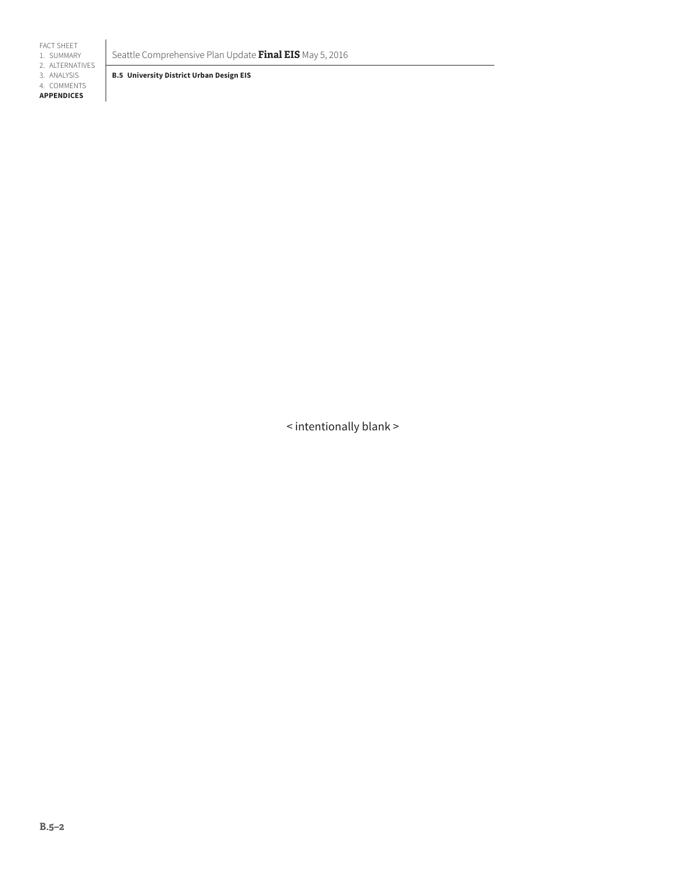FACT SHEET 1. SUMMARY 2. ALTERNATIVES 3. ANALYSIS

4. COMMENTS **APPENDICES**

Seattle Comprehensive Plan Update **Final EIS** May 5, 2016

**B.5 University District Urban Design EIS**

< intentionally blank >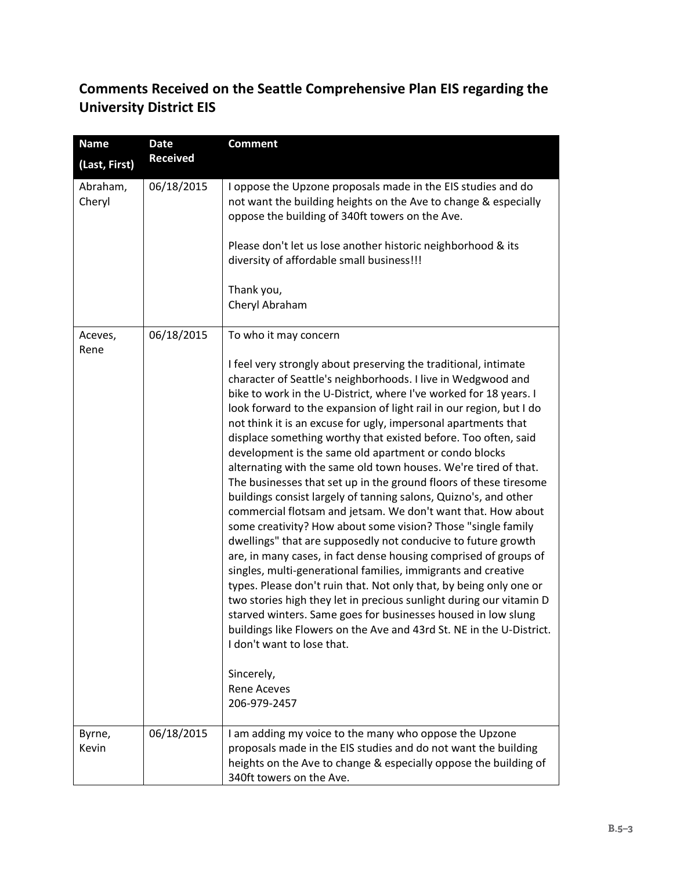## **Comments Received on the Seattle Comprehensive Plan EIS regarding the University District EIS**

| <b>Name</b>        | <b>Date</b>     | <b>Comment</b>                                                                                                                                                                                                                                                                                                                                                                                                                                                                                                                                                                                                                                                                                                                                                                                                                                                                                                                                                                                                                                                                                                                                                                                                                                                                                                                                                                                     |
|--------------------|-----------------|----------------------------------------------------------------------------------------------------------------------------------------------------------------------------------------------------------------------------------------------------------------------------------------------------------------------------------------------------------------------------------------------------------------------------------------------------------------------------------------------------------------------------------------------------------------------------------------------------------------------------------------------------------------------------------------------------------------------------------------------------------------------------------------------------------------------------------------------------------------------------------------------------------------------------------------------------------------------------------------------------------------------------------------------------------------------------------------------------------------------------------------------------------------------------------------------------------------------------------------------------------------------------------------------------------------------------------------------------------------------------------------------------|
| (Last, First)      | <b>Received</b> |                                                                                                                                                                                                                                                                                                                                                                                                                                                                                                                                                                                                                                                                                                                                                                                                                                                                                                                                                                                                                                                                                                                                                                                                                                                                                                                                                                                                    |
| Abraham,<br>Cheryl | 06/18/2015      | I oppose the Upzone proposals made in the EIS studies and do<br>not want the building heights on the Ave to change & especially<br>oppose the building of 340ft towers on the Ave.<br>Please don't let us lose another historic neighborhood & its<br>diversity of affordable small business!!!<br>Thank you,<br>Cheryl Abraham                                                                                                                                                                                                                                                                                                                                                                                                                                                                                                                                                                                                                                                                                                                                                                                                                                                                                                                                                                                                                                                                    |
| Aceves,            | 06/18/2015      | To who it may concern                                                                                                                                                                                                                                                                                                                                                                                                                                                                                                                                                                                                                                                                                                                                                                                                                                                                                                                                                                                                                                                                                                                                                                                                                                                                                                                                                                              |
| Rene               |                 | I feel very strongly about preserving the traditional, intimate<br>character of Seattle's neighborhoods. I live in Wedgwood and<br>bike to work in the U-District, where I've worked for 18 years. I<br>look forward to the expansion of light rail in our region, but I do<br>not think it is an excuse for ugly, impersonal apartments that<br>displace something worthy that existed before. Too often, said<br>development is the same old apartment or condo blocks<br>alternating with the same old town houses. We're tired of that.<br>The businesses that set up in the ground floors of these tiresome<br>buildings consist largely of tanning salons, Quizno's, and other<br>commercial flotsam and jetsam. We don't want that. How about<br>some creativity? How about some vision? Those "single family<br>dwellings" that are supposedly not conducive to future growth<br>are, in many cases, in fact dense housing comprised of groups of<br>singles, multi-generational families, immigrants and creative<br>types. Please don't ruin that. Not only that, by being only one or<br>two stories high they let in precious sunlight during our vitamin D<br>starved winters. Same goes for businesses housed in low slung<br>buildings like Flowers on the Ave and 43rd St. NE in the U-District.<br>I don't want to lose that.<br>Sincerely,<br><b>Rene Aceves</b><br>206-979-2457 |
| Byrne,<br>Kevin    | 06/18/2015      | I am adding my voice to the many who oppose the Upzone<br>proposals made in the EIS studies and do not want the building                                                                                                                                                                                                                                                                                                                                                                                                                                                                                                                                                                                                                                                                                                                                                                                                                                                                                                                                                                                                                                                                                                                                                                                                                                                                           |
|                    |                 | heights on the Ave to change & especially oppose the building of<br>340ft towers on the Ave.                                                                                                                                                                                                                                                                                                                                                                                                                                                                                                                                                                                                                                                                                                                                                                                                                                                                                                                                                                                                                                                                                                                                                                                                                                                                                                       |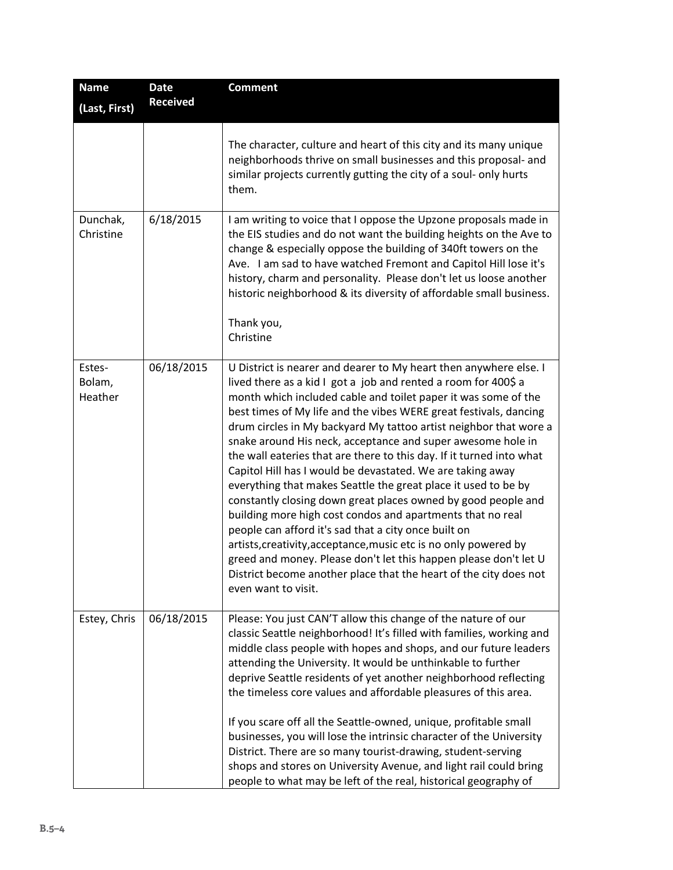| <b>Name</b>                 | Date            | <b>Comment</b>                                                                                                                                                                                                                                                                                                                                                                                                                                                                                                                                                                                                                                                                                                                                                                                                                                                                                                                                                                                                                                    |
|-----------------------------|-----------------|---------------------------------------------------------------------------------------------------------------------------------------------------------------------------------------------------------------------------------------------------------------------------------------------------------------------------------------------------------------------------------------------------------------------------------------------------------------------------------------------------------------------------------------------------------------------------------------------------------------------------------------------------------------------------------------------------------------------------------------------------------------------------------------------------------------------------------------------------------------------------------------------------------------------------------------------------------------------------------------------------------------------------------------------------|
| (Last, First)               | <b>Received</b> |                                                                                                                                                                                                                                                                                                                                                                                                                                                                                                                                                                                                                                                                                                                                                                                                                                                                                                                                                                                                                                                   |
|                             |                 | The character, culture and heart of this city and its many unique<br>neighborhoods thrive on small businesses and this proposal- and<br>similar projects currently gutting the city of a soul- only hurts<br>them.                                                                                                                                                                                                                                                                                                                                                                                                                                                                                                                                                                                                                                                                                                                                                                                                                                |
| Dunchak,<br>Christine       | 6/18/2015       | I am writing to voice that I oppose the Upzone proposals made in<br>the EIS studies and do not want the building heights on the Ave to<br>change & especially oppose the building of 340ft towers on the<br>Ave. I am sad to have watched Fremont and Capitol Hill lose it's<br>history, charm and personality. Please don't let us loose another<br>historic neighborhood & its diversity of affordable small business.<br>Thank you,<br>Christine                                                                                                                                                                                                                                                                                                                                                                                                                                                                                                                                                                                               |
| Estes-<br>Bolam,<br>Heather | 06/18/2015      | U District is nearer and dearer to My heart then anywhere else. I<br>lived there as a kid I got a job and rented a room for 400\$ a<br>month which included cable and toilet paper it was some of the<br>best times of My life and the vibes WERE great festivals, dancing<br>drum circles in My backyard My tattoo artist neighbor that wore a<br>snake around His neck, acceptance and super awesome hole in<br>the wall eateries that are there to this day. If it turned into what<br>Capitol Hill has I would be devastated. We are taking away<br>everything that makes Seattle the great place it used to be by<br>constantly closing down great places owned by good people and<br>building more high cost condos and apartments that no real<br>people can afford it's sad that a city once built on<br>artists, creativity, acceptance, music etc is no only powered by<br>greed and money. Please don't let this happen please don't let U<br>District become another place that the heart of the city does not<br>even want to visit. |
| Estey, Chris                | 06/18/2015      | Please: You just CAN'T allow this change of the nature of our<br>classic Seattle neighborhood! It's filled with families, working and<br>middle class people with hopes and shops, and our future leaders<br>attending the University. It would be unthinkable to further<br>deprive Seattle residents of yet another neighborhood reflecting<br>the timeless core values and affordable pleasures of this area.<br>If you scare off all the Seattle-owned, unique, profitable small<br>businesses, you will lose the intrinsic character of the University<br>District. There are so many tourist-drawing, student-serving<br>shops and stores on University Avenue, and light rail could bring<br>people to what may be left of the real, historical geography of                                                                                                                                                                                                                                                                               |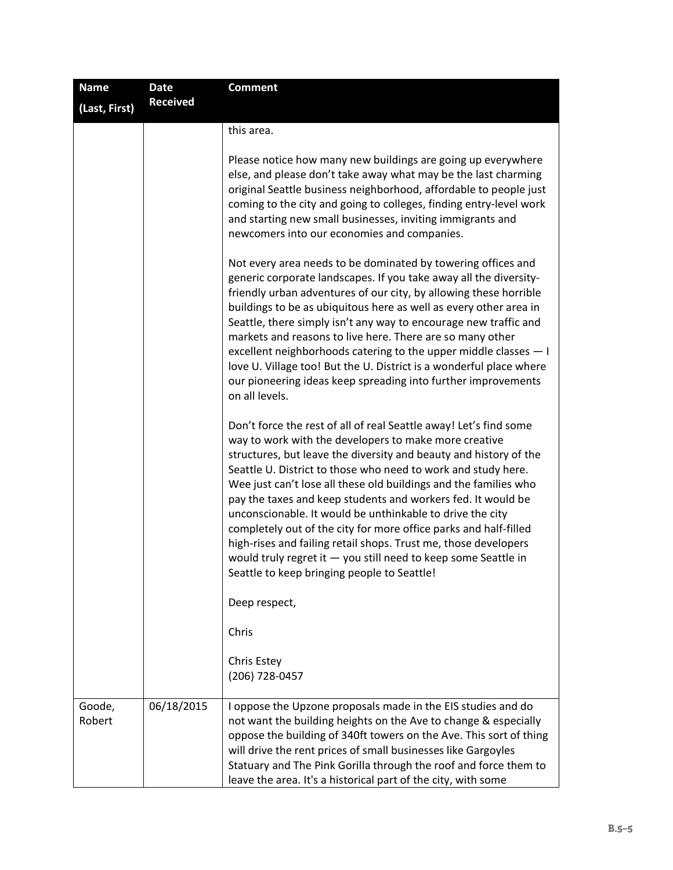| <b>Name</b>      | <b>Date</b>     | <b>Comment</b>                                                                                                                                                                                                                                                                                                                                                                                                                                                                                                                                                                                                                                                                                                            |
|------------------|-----------------|---------------------------------------------------------------------------------------------------------------------------------------------------------------------------------------------------------------------------------------------------------------------------------------------------------------------------------------------------------------------------------------------------------------------------------------------------------------------------------------------------------------------------------------------------------------------------------------------------------------------------------------------------------------------------------------------------------------------------|
| (Last, First)    | <b>Received</b> |                                                                                                                                                                                                                                                                                                                                                                                                                                                                                                                                                                                                                                                                                                                           |
|                  |                 | this area.                                                                                                                                                                                                                                                                                                                                                                                                                                                                                                                                                                                                                                                                                                                |
|                  |                 | Please notice how many new buildings are going up everywhere<br>else, and please don't take away what may be the last charming<br>original Seattle business neighborhood, affordable to people just<br>coming to the city and going to colleges, finding entry-level work<br>and starting new small businesses, inviting immigrants and<br>newcomers into our economies and companies.                                                                                                                                                                                                                                                                                                                                    |
|                  |                 | Not every area needs to be dominated by towering offices and<br>generic corporate landscapes. If you take away all the diversity-<br>friendly urban adventures of our city, by allowing these horrible<br>buildings to be as ubiquitous here as well as every other area in<br>Seattle, there simply isn't any way to encourage new traffic and<br>markets and reasons to live here. There are so many other<br>excellent neighborhoods catering to the upper middle classes - I<br>love U. Village too! But the U. District is a wonderful place where<br>our pioneering ideas keep spreading into further improvements<br>on all levels.                                                                                |
|                  |                 | Don't force the rest of all of real Seattle away! Let's find some<br>way to work with the developers to make more creative<br>structures, but leave the diversity and beauty and history of the<br>Seattle U. District to those who need to work and study here.<br>Wee just can't lose all these old buildings and the families who<br>pay the taxes and keep students and workers fed. It would be<br>unconscionable. It would be unthinkable to drive the city<br>completely out of the city for more office parks and half-filled<br>high-rises and failing retail shops. Trust me, those developers<br>would truly regret it - you still need to keep some Seattle in<br>Seattle to keep bringing people to Seattle! |
|                  |                 | Deep respect,                                                                                                                                                                                                                                                                                                                                                                                                                                                                                                                                                                                                                                                                                                             |
|                  |                 | Chris                                                                                                                                                                                                                                                                                                                                                                                                                                                                                                                                                                                                                                                                                                                     |
|                  |                 | Chris Estey<br>(206) 728-0457                                                                                                                                                                                                                                                                                                                                                                                                                                                                                                                                                                                                                                                                                             |
| Goode,<br>Robert | 06/18/2015      | I oppose the Upzone proposals made in the EIS studies and do<br>not want the building heights on the Ave to change & especially<br>oppose the building of 340ft towers on the Ave. This sort of thing<br>will drive the rent prices of small businesses like Gargoyles<br>Statuary and The Pink Gorilla through the roof and force them to<br>leave the area. It's a historical part of the city, with some                                                                                                                                                                                                                                                                                                               |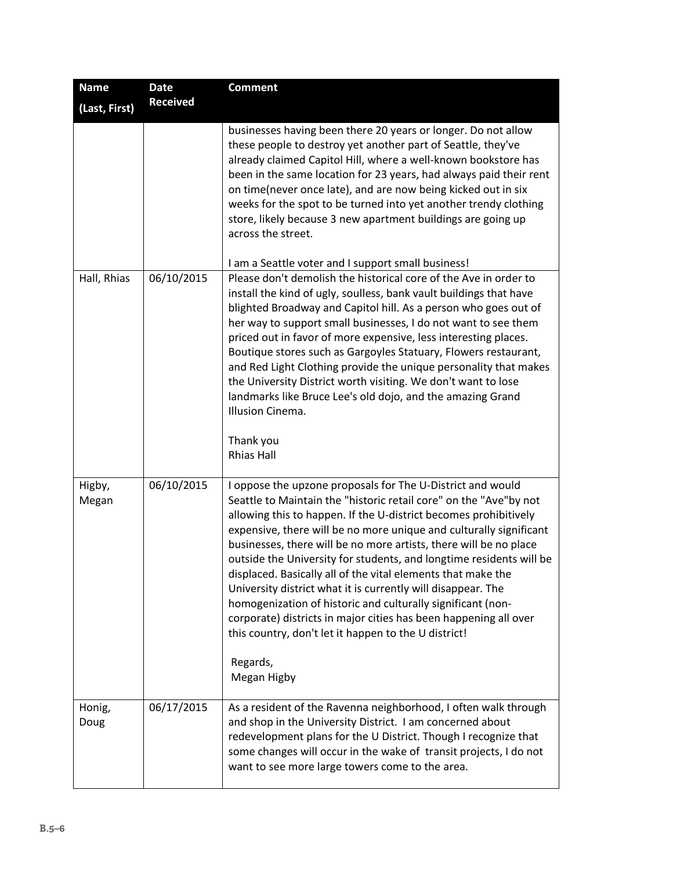| <b>Name</b>     | <b>Date</b>     | <b>Comment</b>                                                                                                                                                                                                                                                                                                                                                                                                                                                                                                                                                                                                                                                                                                                                                              |
|-----------------|-----------------|-----------------------------------------------------------------------------------------------------------------------------------------------------------------------------------------------------------------------------------------------------------------------------------------------------------------------------------------------------------------------------------------------------------------------------------------------------------------------------------------------------------------------------------------------------------------------------------------------------------------------------------------------------------------------------------------------------------------------------------------------------------------------------|
| (Last, First)   | <b>Received</b> |                                                                                                                                                                                                                                                                                                                                                                                                                                                                                                                                                                                                                                                                                                                                                                             |
|                 |                 | businesses having been there 20 years or longer. Do not allow<br>these people to destroy yet another part of Seattle, they've<br>already claimed Capitol Hill, where a well-known bookstore has<br>been in the same location for 23 years, had always paid their rent<br>on time(never once late), and are now being kicked out in six<br>weeks for the spot to be turned into yet another trendy clothing<br>store, likely because 3 new apartment buildings are going up<br>across the street.<br>I am a Seattle voter and I support small business!                                                                                                                                                                                                                      |
| Hall, Rhias     | 06/10/2015      | Please don't demolish the historical core of the Ave in order to<br>install the kind of ugly, soulless, bank vault buildings that have<br>blighted Broadway and Capitol hill. As a person who goes out of<br>her way to support small businesses, I do not want to see them<br>priced out in favor of more expensive, less interesting places.<br>Boutique stores such as Gargoyles Statuary, Flowers restaurant,<br>and Red Light Clothing provide the unique personality that makes<br>the University District worth visiting. We don't want to lose<br>landmarks like Bruce Lee's old dojo, and the amazing Grand<br>Illusion Cinema.<br>Thank you<br><b>Rhias Hall</b>                                                                                                  |
| Higby,<br>Megan | 06/10/2015      | I oppose the upzone proposals for The U-District and would<br>Seattle to Maintain the "historic retail core" on the "Ave"by not<br>allowing this to happen. If the U-district becomes prohibitively<br>expensive, there will be no more unique and culturally significant<br>businesses, there will be no more artists, there will be no place<br>outside the University for students, and longtime residents will be<br>displaced. Basically all of the vital elements that make the<br>University district what it is currently will disappear. The<br>homogenization of historic and culturally significant (non-<br>corporate) districts in major cities has been happening all over<br>this country, don't let it happen to the U district!<br>Regards,<br>Megan Higby |
| Honig,<br>Doug  | 06/17/2015      | As a resident of the Ravenna neighborhood, I often walk through<br>and shop in the University District. I am concerned about<br>redevelopment plans for the U District. Though I recognize that<br>some changes will occur in the wake of transit projects, I do not<br>want to see more large towers come to the area.                                                                                                                                                                                                                                                                                                                                                                                                                                                     |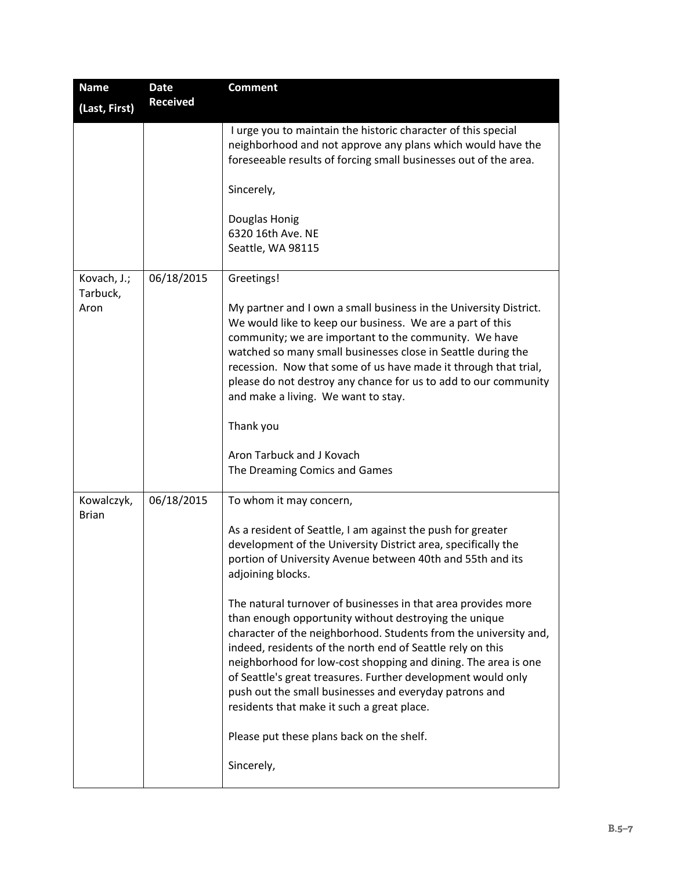| <b>Name</b>                     | <b>Date</b>     | <b>Comment</b>                                                                                                                                                                                                                                                                                                                                                                                                                                                                                                                                                                                                                                                                                                                                                                                              |
|---------------------------------|-----------------|-------------------------------------------------------------------------------------------------------------------------------------------------------------------------------------------------------------------------------------------------------------------------------------------------------------------------------------------------------------------------------------------------------------------------------------------------------------------------------------------------------------------------------------------------------------------------------------------------------------------------------------------------------------------------------------------------------------------------------------------------------------------------------------------------------------|
| (Last, First)                   | <b>Received</b> |                                                                                                                                                                                                                                                                                                                                                                                                                                                                                                                                                                                                                                                                                                                                                                                                             |
|                                 |                 | I urge you to maintain the historic character of this special<br>neighborhood and not approve any plans which would have the<br>foreseeable results of forcing small businesses out of the area.<br>Sincerely,<br>Douglas Honig<br>6320 16th Ave. NE<br>Seattle, WA 98115                                                                                                                                                                                                                                                                                                                                                                                                                                                                                                                                   |
| Kovach, J.;<br>Tarbuck,<br>Aron | 06/18/2015      | Greetings!<br>My partner and I own a small business in the University District.<br>We would like to keep our business. We are a part of this<br>community; we are important to the community. We have<br>watched so many small businesses close in Seattle during the<br>recession. Now that some of us have made it through that trial,<br>please do not destroy any chance for us to add to our community<br>and make a living. We want to stay.<br>Thank you                                                                                                                                                                                                                                                                                                                                             |
|                                 |                 | Aron Tarbuck and J Kovach<br>The Dreaming Comics and Games                                                                                                                                                                                                                                                                                                                                                                                                                                                                                                                                                                                                                                                                                                                                                  |
| Kowalczyk,<br><b>Brian</b>      | 06/18/2015      | To whom it may concern,<br>As a resident of Seattle, I am against the push for greater<br>development of the University District area, specifically the<br>portion of University Avenue between 40th and 55th and its<br>adjoining blocks.<br>The natural turnover of businesses in that area provides more<br>than enough opportunity without destroying the unique<br>character of the neighborhood. Students from the university and,<br>indeed, residents of the north end of Seattle rely on this<br>neighborhood for low-cost shopping and dining. The area is one<br>of Seattle's great treasures. Further development would only<br>push out the small businesses and everyday patrons and<br>residents that make it such a great place.<br>Please put these plans back on the shelf.<br>Sincerely, |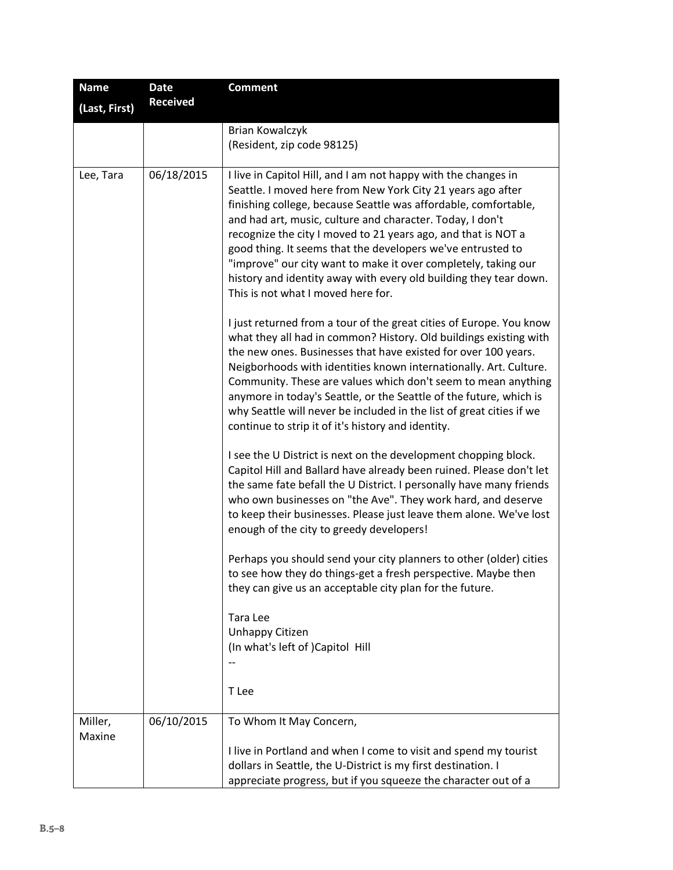| Date       | <b>Comment</b>                                                                                                                                                                                                                                                                                                                                                                                                                                                                                                                                                                                                                                                                                                                                                                           |
|------------|------------------------------------------------------------------------------------------------------------------------------------------------------------------------------------------------------------------------------------------------------------------------------------------------------------------------------------------------------------------------------------------------------------------------------------------------------------------------------------------------------------------------------------------------------------------------------------------------------------------------------------------------------------------------------------------------------------------------------------------------------------------------------------------|
|            |                                                                                                                                                                                                                                                                                                                                                                                                                                                                                                                                                                                                                                                                                                                                                                                          |
|            | Brian Kowalczyk<br>(Resident, zip code 98125)                                                                                                                                                                                                                                                                                                                                                                                                                                                                                                                                                                                                                                                                                                                                            |
| 06/18/2015 | I live in Capitol Hill, and I am not happy with the changes in<br>Seattle. I moved here from New York City 21 years ago after<br>finishing college, because Seattle was affordable, comfortable,<br>and had art, music, culture and character. Today, I don't<br>recognize the city I moved to 21 years ago, and that is NOT a<br>good thing. It seems that the developers we've entrusted to<br>"improve" our city want to make it over completely, taking our<br>history and identity away with every old building they tear down.<br>This is not what I moved here for.<br>I just returned from a tour of the great cities of Europe. You know<br>what they all had in common? History. Old buildings existing with<br>the new ones. Businesses that have existed for over 100 years. |
|            | Neigborhoods with identities known internationally. Art. Culture.<br>Community. These are values which don't seem to mean anything<br>anymore in today's Seattle, or the Seattle of the future, which is<br>why Seattle will never be included in the list of great cities if we<br>continue to strip it of it's history and identity.                                                                                                                                                                                                                                                                                                                                                                                                                                                   |
|            | I see the U District is next on the development chopping block.<br>Capitol Hill and Ballard have already been ruined. Please don't let<br>the same fate befall the U District. I personally have many friends<br>who own businesses on "the Ave". They work hard, and deserve<br>to keep their businesses. Please just leave them alone. We've lost<br>enough of the city to greedy developers!                                                                                                                                                                                                                                                                                                                                                                                          |
|            | Perhaps you should send your city planners to other (older) cities<br>to see how they do things-get a fresh perspective. Maybe then<br>they can give us an acceptable city plan for the future.                                                                                                                                                                                                                                                                                                                                                                                                                                                                                                                                                                                          |
|            | Tara Lee<br>Unhappy Citizen<br>(In what's left of )Capitol Hill<br>$-$                                                                                                                                                                                                                                                                                                                                                                                                                                                                                                                                                                                                                                                                                                                   |
|            | T Lee                                                                                                                                                                                                                                                                                                                                                                                                                                                                                                                                                                                                                                                                                                                                                                                    |
| 06/10/2015 | To Whom It May Concern,                                                                                                                                                                                                                                                                                                                                                                                                                                                                                                                                                                                                                                                                                                                                                                  |
|            | I live in Portland and when I come to visit and spend my tourist<br>dollars in Seattle, the U-District is my first destination. I<br>appreciate progress, but if you squeeze the character out of a                                                                                                                                                                                                                                                                                                                                                                                                                                                                                                                                                                                      |
|            | <b>Received</b>                                                                                                                                                                                                                                                                                                                                                                                                                                                                                                                                                                                                                                                                                                                                                                          |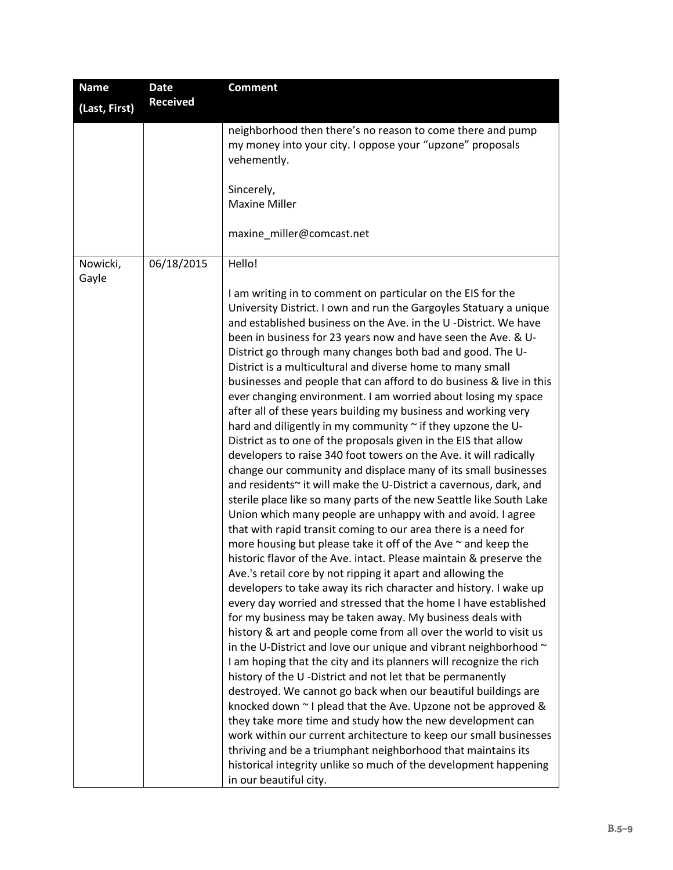| <b>Name</b>       | <b>Date</b>     | <b>Comment</b>                                                                                                                                                                                                                                                                                                                                                                                                                                                                                                                                                                                                                                                                                                                                                                                                                                                                                                                                                                                                                                                                                                                                                                                                                                                                                                                                                                                                                                                                                                                                                                                                                                                                                                                                                                                                                                                                                                                                                                                                                                                                                                                                                                                                                        |
|-------------------|-----------------|---------------------------------------------------------------------------------------------------------------------------------------------------------------------------------------------------------------------------------------------------------------------------------------------------------------------------------------------------------------------------------------------------------------------------------------------------------------------------------------------------------------------------------------------------------------------------------------------------------------------------------------------------------------------------------------------------------------------------------------------------------------------------------------------------------------------------------------------------------------------------------------------------------------------------------------------------------------------------------------------------------------------------------------------------------------------------------------------------------------------------------------------------------------------------------------------------------------------------------------------------------------------------------------------------------------------------------------------------------------------------------------------------------------------------------------------------------------------------------------------------------------------------------------------------------------------------------------------------------------------------------------------------------------------------------------------------------------------------------------------------------------------------------------------------------------------------------------------------------------------------------------------------------------------------------------------------------------------------------------------------------------------------------------------------------------------------------------------------------------------------------------------------------------------------------------------------------------------------------------|
| (Last, First)     | <b>Received</b> |                                                                                                                                                                                                                                                                                                                                                                                                                                                                                                                                                                                                                                                                                                                                                                                                                                                                                                                                                                                                                                                                                                                                                                                                                                                                                                                                                                                                                                                                                                                                                                                                                                                                                                                                                                                                                                                                                                                                                                                                                                                                                                                                                                                                                                       |
|                   |                 | neighborhood then there's no reason to come there and pump<br>my money into your city. I oppose your "upzone" proposals<br>vehemently.                                                                                                                                                                                                                                                                                                                                                                                                                                                                                                                                                                                                                                                                                                                                                                                                                                                                                                                                                                                                                                                                                                                                                                                                                                                                                                                                                                                                                                                                                                                                                                                                                                                                                                                                                                                                                                                                                                                                                                                                                                                                                                |
|                   |                 | Sincerely,<br><b>Maxine Miller</b>                                                                                                                                                                                                                                                                                                                                                                                                                                                                                                                                                                                                                                                                                                                                                                                                                                                                                                                                                                                                                                                                                                                                                                                                                                                                                                                                                                                                                                                                                                                                                                                                                                                                                                                                                                                                                                                                                                                                                                                                                                                                                                                                                                                                    |
|                   |                 | maxine_miller@comcast.net                                                                                                                                                                                                                                                                                                                                                                                                                                                                                                                                                                                                                                                                                                                                                                                                                                                                                                                                                                                                                                                                                                                                                                                                                                                                                                                                                                                                                                                                                                                                                                                                                                                                                                                                                                                                                                                                                                                                                                                                                                                                                                                                                                                                             |
| Nowicki,<br>Gayle | 06/18/2015      | Hello!<br>I am writing in to comment on particular on the EIS for the                                                                                                                                                                                                                                                                                                                                                                                                                                                                                                                                                                                                                                                                                                                                                                                                                                                                                                                                                                                                                                                                                                                                                                                                                                                                                                                                                                                                                                                                                                                                                                                                                                                                                                                                                                                                                                                                                                                                                                                                                                                                                                                                                                 |
|                   |                 | University District. I own and run the Gargoyles Statuary a unique<br>and established business on the Ave. in the U-District. We have<br>been in business for 23 years now and have seen the Ave. & U-<br>District go through many changes both bad and good. The U-<br>District is a multicultural and diverse home to many small<br>businesses and people that can afford to do business & live in this<br>ever changing environment. I am worried about losing my space<br>after all of these years building my business and working very<br>hard and diligently in my community $\sim$ if they upzone the U-<br>District as to one of the proposals given in the EIS that allow<br>developers to raise 340 foot towers on the Ave. it will radically<br>change our community and displace many of its small businesses<br>and residents~ it will make the U-District a cavernous, dark, and<br>sterile place like so many parts of the new Seattle like South Lake<br>Union which many people are unhappy with and avoid. I agree<br>that with rapid transit coming to our area there is a need for<br>more housing but please take it off of the Ave ~ and keep the<br>historic flavor of the Ave. intact. Please maintain & preserve the<br>Ave.'s retail core by not ripping it apart and allowing the<br>developers to take away its rich character and history. I wake up<br>every day worried and stressed that the home I have established<br>for my business may be taken away. My business deals with<br>history & art and people come from all over the world to visit us<br>in the U-District and love our unique and vibrant neighborhood $\sim$<br>I am hoping that the city and its planners will recognize the rich<br>history of the U-District and not let that be permanently<br>destroyed. We cannot go back when our beautiful buildings are<br>knocked down ~ I plead that the Ave. Upzone not be approved &<br>they take more time and study how the new development can<br>work within our current architecture to keep our small businesses<br>thriving and be a triumphant neighborhood that maintains its<br>historical integrity unlike so much of the development happening<br>in our beautiful city. |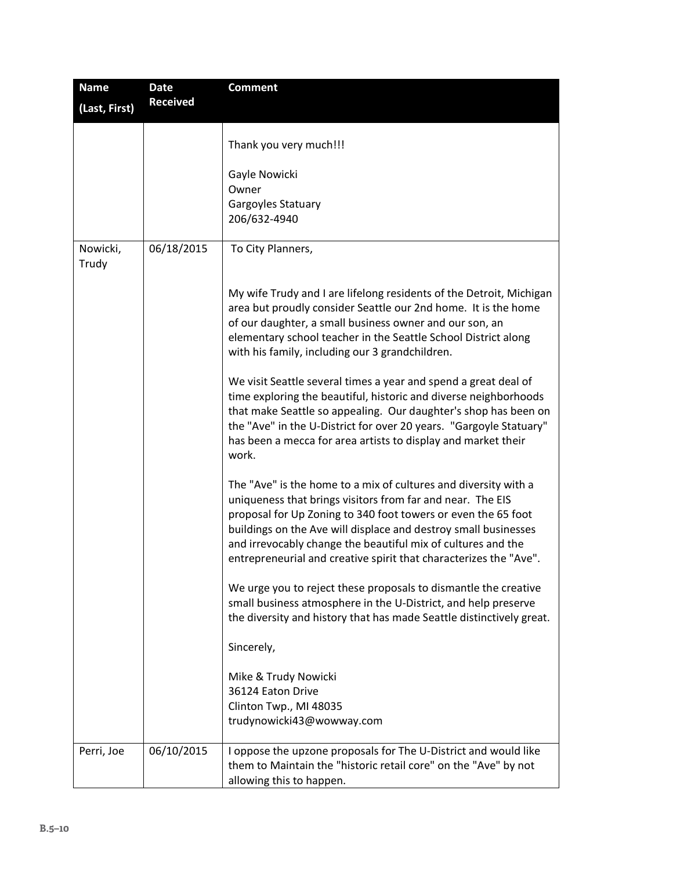| <b>Name</b>       | <b>Date</b>     | <b>Comment</b>                                                                                                                                                                                                                                                                                                                                                                                                                                                                                                                                                                                                                                                                                                                                                                                                                                                                                                                                                                                                                                                                                                                                                                                                                                                                                                                                                                                                                                |
|-------------------|-----------------|-----------------------------------------------------------------------------------------------------------------------------------------------------------------------------------------------------------------------------------------------------------------------------------------------------------------------------------------------------------------------------------------------------------------------------------------------------------------------------------------------------------------------------------------------------------------------------------------------------------------------------------------------------------------------------------------------------------------------------------------------------------------------------------------------------------------------------------------------------------------------------------------------------------------------------------------------------------------------------------------------------------------------------------------------------------------------------------------------------------------------------------------------------------------------------------------------------------------------------------------------------------------------------------------------------------------------------------------------------------------------------------------------------------------------------------------------|
| (Last, First)     | <b>Received</b> |                                                                                                                                                                                                                                                                                                                                                                                                                                                                                                                                                                                                                                                                                                                                                                                                                                                                                                                                                                                                                                                                                                                                                                                                                                                                                                                                                                                                                                               |
|                   |                 | Thank you very much!!!<br>Gayle Nowicki<br>Owner<br>Gargoyles Statuary<br>206/632-4940                                                                                                                                                                                                                                                                                                                                                                                                                                                                                                                                                                                                                                                                                                                                                                                                                                                                                                                                                                                                                                                                                                                                                                                                                                                                                                                                                        |
| Nowicki,<br>Trudy | 06/18/2015      | To City Planners,<br>My wife Trudy and I are lifelong residents of the Detroit, Michigan<br>area but proudly consider Seattle our 2nd home. It is the home<br>of our daughter, a small business owner and our son, an<br>elementary school teacher in the Seattle School District along<br>with his family, including our 3 grandchildren.<br>We visit Seattle several times a year and spend a great deal of<br>time exploring the beautiful, historic and diverse neighborhoods<br>that make Seattle so appealing. Our daughter's shop has been on<br>the "Ave" in the U-District for over 20 years. "Gargoyle Statuary"<br>has been a mecca for area artists to display and market their<br>work.<br>The "Ave" is the home to a mix of cultures and diversity with a<br>uniqueness that brings visitors from far and near. The EIS<br>proposal for Up Zoning to 340 foot towers or even the 65 foot<br>buildings on the Ave will displace and destroy small businesses<br>and irrevocably change the beautiful mix of cultures and the<br>entrepreneurial and creative spirit that characterizes the "Ave".<br>We urge you to reject these proposals to dismantle the creative<br>small business atmosphere in the U-District, and help preserve<br>the diversity and history that has made Seattle distinctively great.<br>Sincerely,<br>Mike & Trudy Nowicki<br>36124 Eaton Drive<br>Clinton Twp., MI 48035<br>trudynowicki43@wowway.com |
| Perri, Joe        | 06/10/2015      | I oppose the upzone proposals for The U-District and would like<br>them to Maintain the "historic retail core" on the "Ave" by not<br>allowing this to happen.                                                                                                                                                                                                                                                                                                                                                                                                                                                                                                                                                                                                                                                                                                                                                                                                                                                                                                                                                                                                                                                                                                                                                                                                                                                                                |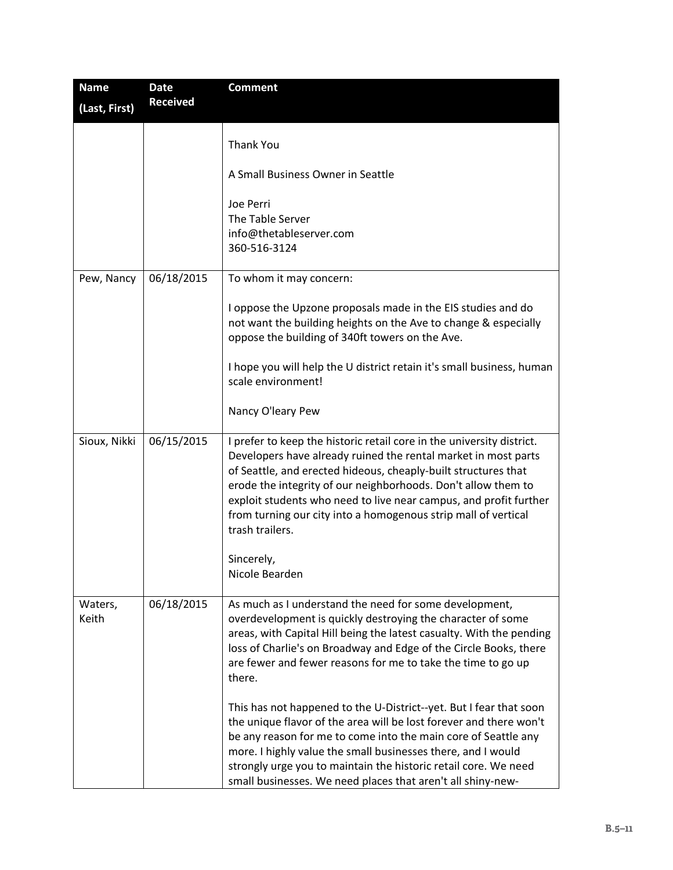| <b>Name</b>      | Date            | <b>Comment</b>                                                                                                                                                                                                                                                                                                                                                                                                                                                                                                                                                                                                                                                                                                                                               |
|------------------|-----------------|--------------------------------------------------------------------------------------------------------------------------------------------------------------------------------------------------------------------------------------------------------------------------------------------------------------------------------------------------------------------------------------------------------------------------------------------------------------------------------------------------------------------------------------------------------------------------------------------------------------------------------------------------------------------------------------------------------------------------------------------------------------|
| (Last, First)    | <b>Received</b> |                                                                                                                                                                                                                                                                                                                                                                                                                                                                                                                                                                                                                                                                                                                                                              |
|                  |                 | <b>Thank You</b><br>A Small Business Owner in Seattle<br>Joe Perri<br>The Table Server<br>info@thetableserver.com<br>360-516-3124                                                                                                                                                                                                                                                                                                                                                                                                                                                                                                                                                                                                                            |
| Pew, Nancy       | 06/18/2015      | To whom it may concern:<br>I oppose the Upzone proposals made in the EIS studies and do<br>not want the building heights on the Ave to change & especially<br>oppose the building of 340ft towers on the Ave.<br>I hope you will help the U district retain it's small business, human<br>scale environment!<br>Nancy O'leary Pew                                                                                                                                                                                                                                                                                                                                                                                                                            |
| Sioux, Nikki     | 06/15/2015      | I prefer to keep the historic retail core in the university district.<br>Developers have already ruined the rental market in most parts<br>of Seattle, and erected hideous, cheaply-built structures that<br>erode the integrity of our neighborhoods. Don't allow them to<br>exploit students who need to live near campus, and profit further<br>from turning our city into a homogenous strip mall of vertical<br>trash trailers.<br>Sincerely,<br>Nicole Bearden                                                                                                                                                                                                                                                                                         |
| Waters,<br>Keith | 06/18/2015      | As much as I understand the need for some development,<br>overdevelopment is quickly destroying the character of some<br>areas, with Capital Hill being the latest casualty. With the pending<br>loss of Charlie's on Broadway and Edge of the Circle Books, there<br>are fewer and fewer reasons for me to take the time to go up<br>there.<br>This has not happened to the U-District--yet. But I fear that soon<br>the unique flavor of the area will be lost forever and there won't<br>be any reason for me to come into the main core of Seattle any<br>more. I highly value the small businesses there, and I would<br>strongly urge you to maintain the historic retail core. We need<br>small businesses. We need places that aren't all shiny-new- |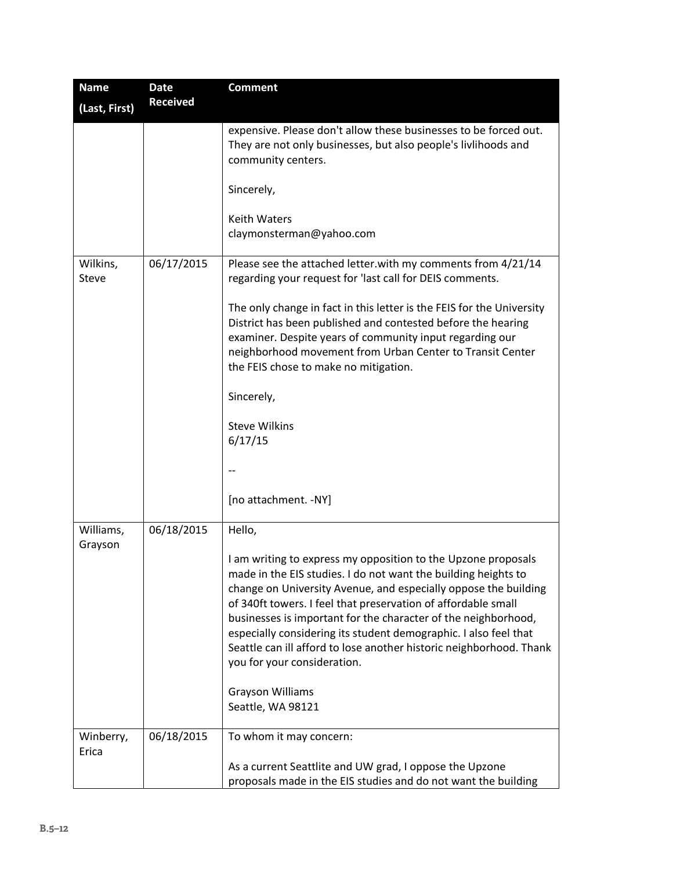| <b>Name</b>          | <b>Date</b>     | <b>Comment</b>                                                                                                                                                                                                                                                                                                                                                                                                                                                                                                  |
|----------------------|-----------------|-----------------------------------------------------------------------------------------------------------------------------------------------------------------------------------------------------------------------------------------------------------------------------------------------------------------------------------------------------------------------------------------------------------------------------------------------------------------------------------------------------------------|
| (Last, First)        | <b>Received</b> |                                                                                                                                                                                                                                                                                                                                                                                                                                                                                                                 |
|                      |                 | expensive. Please don't allow these businesses to be forced out.<br>They are not only businesses, but also people's livlihoods and<br>community centers.                                                                                                                                                                                                                                                                                                                                                        |
|                      |                 | Sincerely,                                                                                                                                                                                                                                                                                                                                                                                                                                                                                                      |
|                      |                 | <b>Keith Waters</b><br>claymonsterman@yahoo.com                                                                                                                                                                                                                                                                                                                                                                                                                                                                 |
| Wilkins,<br>Steve    | 06/17/2015      | Please see the attached letter with my comments from 4/21/14<br>regarding your request for 'last call for DEIS comments.                                                                                                                                                                                                                                                                                                                                                                                        |
|                      |                 | The only change in fact in this letter is the FEIS for the University<br>District has been published and contested before the hearing<br>examiner. Despite years of community input regarding our<br>neighborhood movement from Urban Center to Transit Center<br>the FEIS chose to make no mitigation.                                                                                                                                                                                                         |
|                      |                 | Sincerely,                                                                                                                                                                                                                                                                                                                                                                                                                                                                                                      |
|                      |                 | <b>Steve Wilkins</b><br>6/17/15                                                                                                                                                                                                                                                                                                                                                                                                                                                                                 |
|                      |                 | --                                                                                                                                                                                                                                                                                                                                                                                                                                                                                                              |
|                      |                 | [no attachment. -NY]                                                                                                                                                                                                                                                                                                                                                                                                                                                                                            |
| Williams,<br>Grayson | 06/18/2015      | Hello,                                                                                                                                                                                                                                                                                                                                                                                                                                                                                                          |
|                      |                 | I am writing to express my opposition to the Upzone proposals<br>made in the EIS studies. I do not want the building heights to<br>change on University Avenue, and especially oppose the building<br>of 340ft towers. I feel that preservation of affordable small<br>businesses is important for the character of the neighborhood,<br>especially considering its student demographic. I also feel that<br>Seattle can ill afford to lose another historic neighborhood. Thank<br>you for your consideration. |
|                      |                 | <b>Grayson Williams</b><br>Seattle, WA 98121                                                                                                                                                                                                                                                                                                                                                                                                                                                                    |
| Winberry,<br>Erica   | 06/18/2015      | To whom it may concern:                                                                                                                                                                                                                                                                                                                                                                                                                                                                                         |
|                      |                 | As a current Seattlite and UW grad, I oppose the Upzone<br>proposals made in the EIS studies and do not want the building                                                                                                                                                                                                                                                                                                                                                                                       |